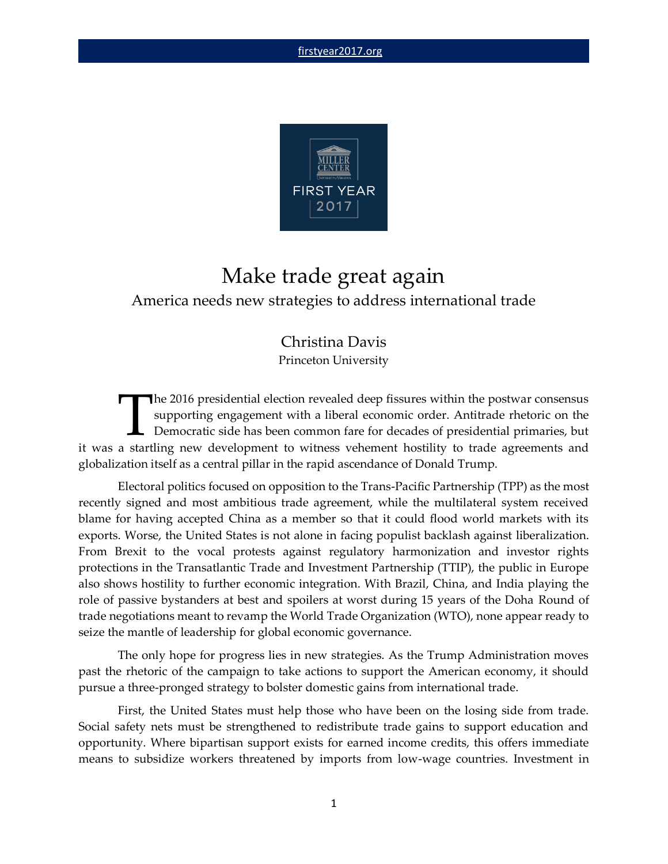

# Make trade great again America needs new strategies to address international trade

# Christina Davis Princeton University

**The 2016 presidential election revealed deep fissures within the postwar consensus** supporting engagement with a liberal economic order. Antitrade rhetoric on the Democratic side has been common fare for decades of presidential primaries, but Ihe 2016 presidential election revealed deep fissures within the postwar consensus supporting engagement with a liberal economic order. Antitrade rhetoric on the Democratic side has been common fare for decades of presiden globalization itself as a central pillar in the rapid ascendance of Donald Trump.

Electoral politics focused on opposition to the Trans-Pacific Partnership (TPP) as the most recently signed and most ambitious trade agreement, while the multilateral system received blame for having accepted China as a member so that it could flood world markets with its exports. Worse, the United States is not alone in facing populist backlash against liberalization. From Brexit to the vocal protests against regulatory harmonization and investor rights protections in the Transatlantic Trade and Investment Partnership (TTIP), the public in Europe also shows hostility to further economic integration. With Brazil, China, and India playing the role of passive bystanders at best and spoilers at worst during 15 years of the Doha Round of trade negotiations meant to revamp the World Trade Organization (WTO), none appear ready to seize the mantle of leadership for global economic governance.

The only hope for progress lies in new strategies. As the Trump Administration moves past the rhetoric of the campaign to take actions to support the American economy, it should pursue a three-pronged strategy to bolster domestic gains from international trade.

First, the United States must help those who have been on the losing side from trade. Social safety nets must be strengthened to redistribute trade gains to support education and opportunity. Where bipartisan support exists for earned income credits, this offers immediate means to subsidize workers threatened by imports from low-wage countries. Investment in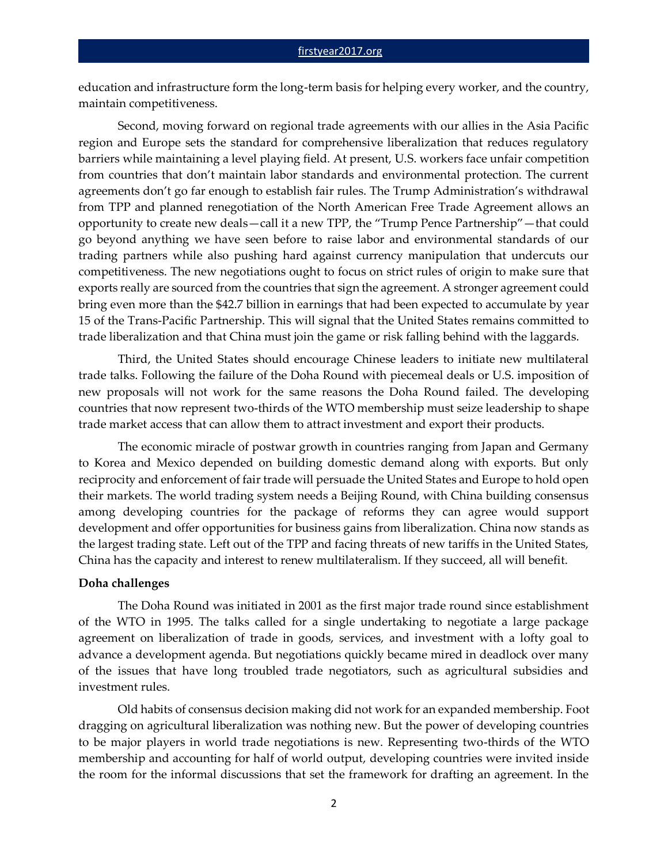education and infrastructure form the long-term basis for helping every worker, and the country, maintain competitiveness.

Second, moving forward on regional trade agreements with our allies in the Asia Pacific region and Europe sets the standard for comprehensive liberalization that reduces regulatory barriers while maintaining a level playing field. At present, U.S. workers face unfair competition from countries that don't maintain labor standards and environmental protection. The current agreements don't go far enough to establish fair rules. The Trump Administration's withdrawal from TPP and planned renegotiation of the North American Free Trade Agreement allows an opportunity to create new deals—call it a new TPP, the "Trump Pence Partnership"—that could go beyond anything we have seen before to raise labor and environmental standards of our trading partners while also pushing hard against currency manipulation that undercuts our competitiveness. The new negotiations ought to focus on strict rules of origin to make sure that exports really are sourced from the countries that sign the agreement. A stronger agreement could bring even more than the \$42.7 billion in earnings that had been expected to accumulate by year 15 of the Trans-Pacific Partnership. This will signal that the United States remains committed to trade liberalization and that China must join the game or risk falling behind with the laggards.

Third, the United States should encourage Chinese leaders to initiate new multilateral trade talks. Following the failure of the Doha Round with piecemeal deals or U.S. imposition of new proposals will not work for the same reasons the Doha Round failed. The developing countries that now represent two-thirds of the WTO membership must seize leadership to shape trade market access that can allow them to attract investment and export their products.

The economic miracle of postwar growth in countries ranging from Japan and Germany to Korea and Mexico depended on building domestic demand along with exports. But only reciprocity and enforcement of fair trade will persuade the United States and Europe to hold open their markets. The world trading system needs a Beijing Round, with China building consensus among developing countries for the package of reforms they can agree would support development and offer opportunities for business gains from liberalization. China now stands as the largest trading state. Left out of the TPP and facing threats of new tariffs in the United States, China has the capacity and interest to renew multilateralism. If they succeed, all will benefit.

## **Doha challenges**

The Doha Round was initiated in 2001 as the first major trade round since establishment of the WTO in 1995. The talks called for a single undertaking to negotiate a large package agreement on liberalization of trade in goods, services, and investment with a lofty goal to advance a development agenda. But negotiations quickly became mired in deadlock over many of the issues that have long troubled trade negotiators, such as agricultural subsidies and investment rules.

Old habits of consensus decision making did not work for an expanded membership. Foot dragging on agricultural liberalization was nothing new. But the power of developing countries to be major players in world trade negotiations is new. Representing two-thirds of the WTO membership and accounting for half of world output, developing countries were invited inside the room for the informal discussions that set the framework for drafting an agreement. In the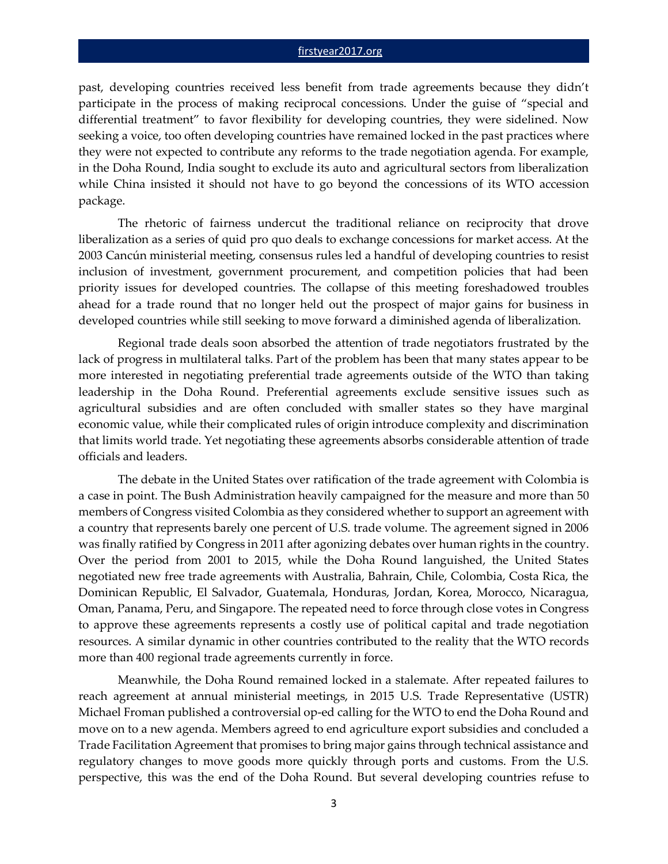#### [firstyear2017.org](http://www.firstyear2017.org/)

past, developing countries received less benefit from trade agreements because they didn't participate in the process of making reciprocal concessions. Under the guise of "special and differential treatment" to favor flexibility for developing countries, they were sidelined. Now seeking a voice, too often developing countries have remained locked in the past practices where they were not expected to contribute any reforms to the trade negotiation agenda. For example, in the Doha Round, India sought to exclude its auto and agricultural sectors from liberalization while China insisted it should not have to go beyond the concessions of its WTO accession package.

The rhetoric of fairness undercut the traditional reliance on reciprocity that drove liberalization as a series of quid pro quo deals to exchange concessions for market access. At the 2003 Cancún ministerial meeting, consensus rules led a handful of developing countries to resist inclusion of investment, government procurement, and competition policies that had been priority issues for developed countries. The collapse of this meeting foreshadowed troubles ahead for a trade round that no longer held out the prospect of major gains for business in developed countries while still seeking to move forward a diminished agenda of liberalization.

Regional trade deals soon absorbed the attention of trade negotiators frustrated by the lack of progress in multilateral talks. Part of the problem has been that many states appear to be more interested in negotiating preferential trade agreements outside of the WTO than taking leadership in the Doha Round. Preferential agreements exclude sensitive issues such as agricultural subsidies and are often concluded with smaller states so they have marginal economic value, while their complicated rules of origin introduce complexity and discrimination that limits world trade. Yet negotiating these agreements absorbs considerable attention of trade officials and leaders.

The debate in the United States over ratification of the trade agreement with Colombia is a case in point. The Bush Administration heavily campaigned for the measure and more than 50 members of Congress visited Colombia as they considered whether to support an agreement with a country that represents barely one percent of U.S. trade volume. The agreement signed in 2006 was finally ratified by Congress in 2011 after agonizing debates over human rights in the country. Over the period from 2001 to 2015, while the Doha Round languished, the United States negotiated new free trade agreements with Australia, Bahrain, Chile, Colombia, Costa Rica, the Dominican Republic, El Salvador, Guatemala, Honduras, Jordan, Korea, Morocco, Nicaragua, Oman, Panama, Peru, and Singapore. The repeated need to force through close votes in Congress to approve these agreements represents a costly use of political capital and trade negotiation resources. A similar dynamic in other countries contributed to the reality that the WTO records more than 400 regional trade agreements currently in force.

Meanwhile, the Doha Round remained locked in a stalemate. After repeated failures to reach agreement at annual ministerial meetings, in 2015 U.S. Trade Representative (USTR) Michael Froman published a controversial op-ed calling for the WTO to end the Doha Round and move on to a new agenda. Members agreed to end agriculture export subsidies and concluded a Trade Facilitation Agreement that promises to bring major gains through technical assistance and regulatory changes to move goods more quickly through ports and customs. From the U.S. perspective, this was the end of the Doha Round. But several developing countries refuse to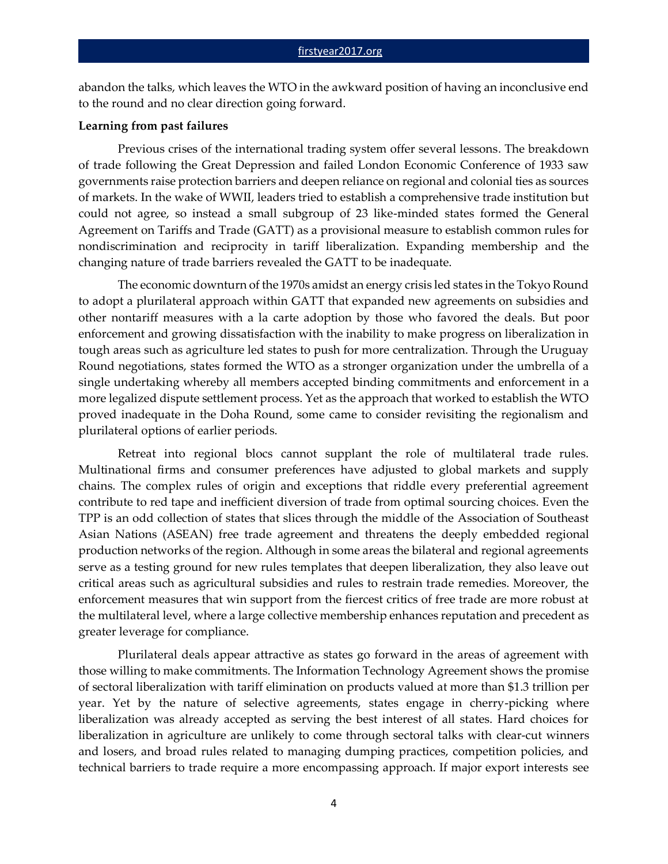abandon the talks, which leaves the WTO in the awkward position of having an inconclusive end to the round and no clear direction going forward.

### **Learning from past failures**

Previous crises of the international trading system offer several lessons. The breakdown of trade following the Great Depression and failed London Economic Conference of 1933 saw governments raise protection barriers and deepen reliance on regional and colonial ties as sources of markets. In the wake of WWII, leaders tried to establish a comprehensive trade institution but could not agree, so instead a small subgroup of 23 like-minded states formed the General Agreement on Tariffs and Trade (GATT) as a provisional measure to establish common rules for nondiscrimination and reciprocity in tariff liberalization. Expanding membership and the changing nature of trade barriers revealed the GATT to be inadequate.

The economic downturn of the 1970s amidst an energy crisis led states in the Tokyo Round to adopt a plurilateral approach within GATT that expanded new agreements on subsidies and other nontariff measures with a la carte adoption by those who favored the deals. But poor enforcement and growing dissatisfaction with the inability to make progress on liberalization in tough areas such as agriculture led states to push for more centralization. Through the Uruguay Round negotiations, states formed the WTO as a stronger organization under the umbrella of a single undertaking whereby all members accepted binding commitments and enforcement in a more legalized dispute settlement process. Yet as the approach that worked to establish the WTO proved inadequate in the Doha Round, some came to consider revisiting the regionalism and plurilateral options of earlier periods.

Retreat into regional blocs cannot supplant the role of multilateral trade rules. Multinational firms and consumer preferences have adjusted to global markets and supply chains. The complex rules of origin and exceptions that riddle every preferential agreement contribute to red tape and inefficient diversion of trade from optimal sourcing choices. Even the TPP is an odd collection of states that slices through the middle of the Association of Southeast Asian Nations (ASEAN) free trade agreement and threatens the deeply embedded regional production networks of the region. Although in some areas the bilateral and regional agreements serve as a testing ground for new rules templates that deepen liberalization, they also leave out critical areas such as agricultural subsidies and rules to restrain trade remedies. Moreover, the enforcement measures that win support from the fiercest critics of free trade are more robust at the multilateral level, where a large collective membership enhances reputation and precedent as greater leverage for compliance.

Plurilateral deals appear attractive as states go forward in the areas of agreement with those willing to make commitments. The Information Technology Agreement shows the promise of sectoral liberalization with tariff elimination on products valued at more than \$1.3 trillion per year. Yet by the nature of selective agreements, states engage in cherry-picking where liberalization was already accepted as serving the best interest of all states. Hard choices for liberalization in agriculture are unlikely to come through sectoral talks with clear-cut winners and losers, and broad rules related to managing dumping practices, competition policies, and technical barriers to trade require a more encompassing approach. If major export interests see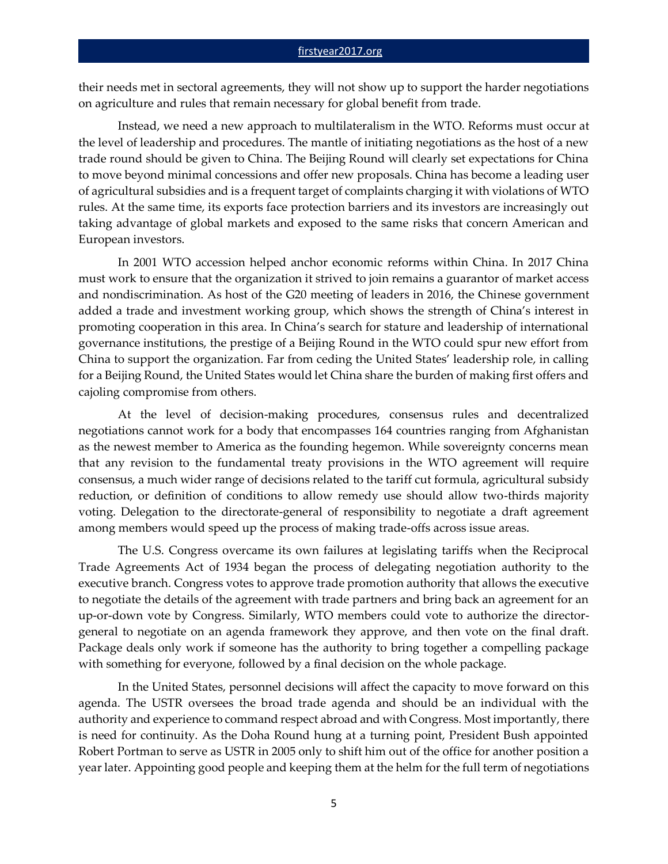their needs met in sectoral agreements, they will not show up to support the harder negotiations on agriculture and rules that remain necessary for global benefit from trade.

Instead, we need a new approach to multilateralism in the WTO. Reforms must occur at the level of leadership and procedures. The mantle of initiating negotiations as the host of a new trade round should be given to China. The Beijing Round will clearly set expectations for China to move beyond minimal concessions and offer new proposals. China has become a leading user of agricultural subsidies and is a frequent target of complaints charging it with violations of WTO rules. At the same time, its exports face protection barriers and its investors are increasingly out taking advantage of global markets and exposed to the same risks that concern American and European investors.

In 2001 WTO accession helped anchor economic reforms within China. In 2017 China must work to ensure that the organization it strived to join remains a guarantor of market access and nondiscrimination. As host of the G20 meeting of leaders in 2016, the Chinese government added a trade and investment working group, which shows the strength of China's interest in promoting cooperation in this area. In China's search for stature and leadership of international governance institutions, the prestige of a Beijing Round in the WTO could spur new effort from China to support the organization. Far from ceding the United States' leadership role, in calling for a Beijing Round, the United States would let China share the burden of making first offers and cajoling compromise from others.

At the level of decision-making procedures, consensus rules and decentralized negotiations cannot work for a body that encompasses 164 countries ranging from Afghanistan as the newest member to America as the founding hegemon. While sovereignty concerns mean that any revision to the fundamental treaty provisions in the WTO agreement will require consensus, a much wider range of decisions related to the tariff cut formula, agricultural subsidy reduction, or definition of conditions to allow remedy use should allow two-thirds majority voting. Delegation to the directorate-general of responsibility to negotiate a draft agreement among members would speed up the process of making trade-offs across issue areas.

The U.S. Congress overcame its own failures at legislating tariffs when the Reciprocal Trade Agreements Act of 1934 began the process of delegating negotiation authority to the executive branch. Congress votes to approve trade promotion authority that allows the executive to negotiate the details of the agreement with trade partners and bring back an agreement for an up-or-down vote by Congress. Similarly, WTO members could vote to authorize the directorgeneral to negotiate on an agenda framework they approve, and then vote on the final draft. Package deals only work if someone has the authority to bring together a compelling package with something for everyone, followed by a final decision on the whole package.

In the United States, personnel decisions will affect the capacity to move forward on this agenda. The USTR oversees the broad trade agenda and should be an individual with the authority and experience to command respect abroad and with Congress. Most importantly, there is need for continuity. As the Doha Round hung at a turning point, President Bush appointed Robert Portman to serve as USTR in 2005 only to shift him out of the office for another position a year later. Appointing good people and keeping them at the helm for the full term of negotiations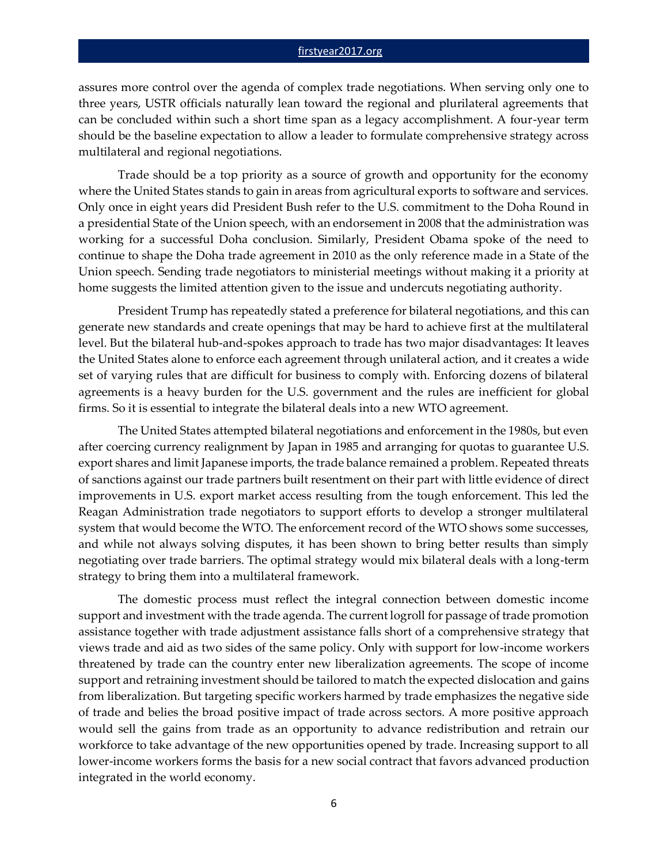#### [firstyear2017.org](http://www.firstyear2017.org/)

assures more control over the agenda of complex trade negotiations. When serving only one to three years, USTR officials naturally lean toward the regional and plurilateral agreements that can be concluded within such a short time span as a legacy accomplishment. A four-year term should be the baseline expectation to allow a leader to formulate comprehensive strategy across multilateral and regional negotiations.

Trade should be a top priority as a source of growth and opportunity for the economy where the United States stands to gain in areas from agricultural exports to software and services. Only once in eight years did President Bush refer to the U.S. commitment to the Doha Round in a presidential State of the Union speech, with an endorsement in 2008 that the administration was working for a successful Doha conclusion. Similarly, President Obama spoke of the need to continue to shape the Doha trade agreement in 2010 as the only reference made in a State of the Union speech. Sending trade negotiators to ministerial meetings without making it a priority at home suggests the limited attention given to the issue and undercuts negotiating authority.

President Trump has repeatedly stated a preference for bilateral negotiations, and this can generate new standards and create openings that may be hard to achieve first at the multilateral level. But the bilateral hub-and-spokes approach to trade has two major disadvantages: It leaves the United States alone to enforce each agreement through unilateral action, and it creates a wide set of varying rules that are difficult for business to comply with. Enforcing dozens of bilateral agreements is a heavy burden for the U.S. government and the rules are inefficient for global firms. So it is essential to integrate the bilateral deals into a new WTO agreement.

The United States attempted bilateral negotiations and enforcement in the 1980s, but even after coercing currency realignment by Japan in 1985 and arranging for quotas to guarantee U.S. export shares and limit Japanese imports, the trade balance remained a problem. Repeated threats of sanctions against our trade partners built resentment on their part with little evidence of direct improvements in U.S. export market access resulting from the tough enforcement. This led the Reagan Administration trade negotiators to support efforts to develop a stronger multilateral system that would become the WTO. The enforcement record of the WTO shows some successes, and while not always solving disputes, it has been shown to bring better results than simply negotiating over trade barriers. The optimal strategy would mix bilateral deals with a long-term strategy to bring them into a multilateral framework.

The domestic process must reflect the integral connection between domestic income support and investment with the trade agenda. The current logroll for passage of trade promotion assistance together with trade adjustment assistance falls short of a comprehensive strategy that views trade and aid as two sides of the same policy. Only with support for low-income workers threatened by trade can the country enter new liberalization agreements. The scope of income support and retraining investment should be tailored to match the expected dislocation and gains from liberalization. But targeting specific workers harmed by trade emphasizes the negative side of trade and belies the broad positive impact of trade across sectors. A more positive approach would sell the gains from trade as an opportunity to advance redistribution and retrain our workforce to take advantage of the new opportunities opened by trade. Increasing support to all lower-income workers forms the basis for a new social contract that favors advanced production integrated in the world economy.